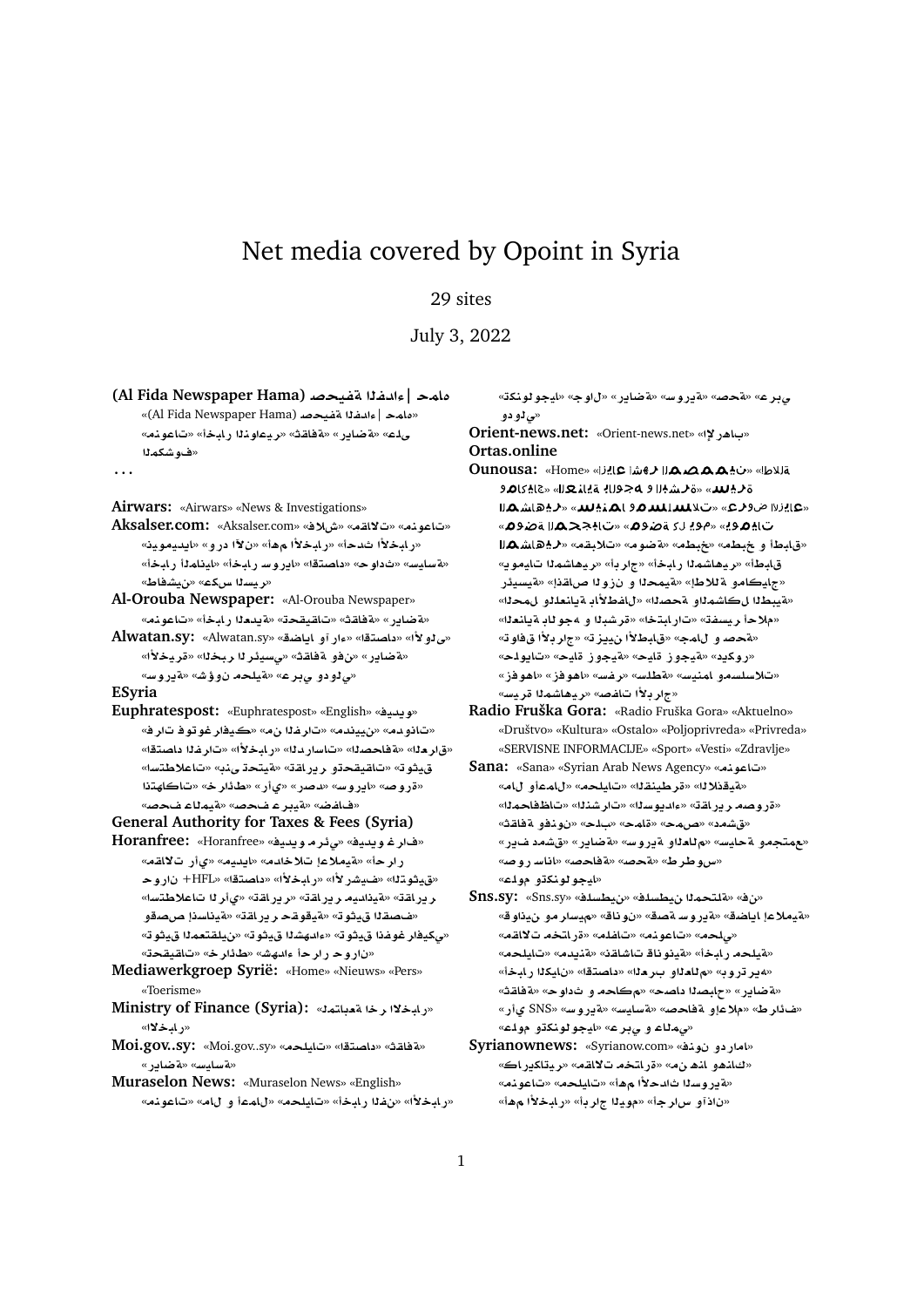## Net media covered by Opoint in Syria

## 29 sites

July 3, 2022

| والمحر   ءادفلا اتفتحصه (Al Fida Newspaper Hama)   |  |
|----------------------------------------------------|--|
| «مامد   ءادغـلم تضــحـصد (Al Fida Newspaper Hama)» |  |
| _ ملء» «4ضابر » «4فاقث» «ريماونلا رايخأ» «تاعونه»  |  |
| «ف4 شكم لـا                                        |  |

## **. . .**

**Airwars:** «Airwars» «News & Investigations»

- **Aksalser.com:** «Aksalser.com» «**®M**» «**qA¯**» «**nwA**» «رابخلأا ثدحأ» «رابخلأا مهأ» «ن¥ا در و» «ايديموينه «**فسايس» «ثداوح» «داصتقا» «ايروسر بابخاً» «اينامذا رابخاً»** «**ريسن**ا س2ع» «نيشفاط»
- **Al-Orouba Newspaper:** «Al-Orouba Newspaper» «**مقاير» «مقاقت» «تاقيقحت» «مقيددنا رابخ**أ» «تاعونه»
- Alwatan.sy: «Alwatan.sy» «بوار آو باياضة» «Alwatan.sy «**±yr**» «**br r¶ys¨**» «**qAT ¤**» «**C§ART**» «**ح نو دو چ بر ع» «ټيلحم نوؤش» «ةيروس**»

**ESyria**

- **Euphratespost:** «Euphratespost» «English» «**yd§w**» «تانو دم» «نييندم» «تار غلا نم» «ڪيفار غو تو ف تار ف*»* «قار دنا» «ةفاحصنا» «تاسار دنا» «رابخلاًا» «تار فنا داصتقا» قيثو ت<sup>ِّ</sup> «تاقيقحتو ريراقة» «فيتحة ينب<sup>ِّ</sup> «تاعلاطتساً» **thAA**» «**r¶X**» «**C©**» «**C}d**» «**FwC§A**» «**}wC**» «هافض» «ةيبر عاضحص» «ةيمل**اء** فحصه
- **General Authority for Taxes & Fees (Syria)**
- **Horanfree:** «Horanfree» «**yd§w r¶¨**» «**yd§w r**» «**qA¯ C©**» «**yd§A**» «**d® ®yT**» «**rC** «قيثوتنا» «فيشر لأا» «رابخلأا» «داصتقا» «HFL» ناروح  $\epsilon$ ر ير اقة» «ةيذاديه ر ير اقة» «ر ير اقة» «يأر <mark>ل</mark>ا تاعلاطتسا» «فحصقاا قيثوت<sup>» «</sup>فيقوقح ر ير اقة» «فيناسنا صصقو «*ي كي*فار غوفذا قيثو ت<sup>ِ»</sup> «ءادهشذا قيثو ت<sup>ِي</sup> هيئو تُ «ن|روح رارحأ ءادهش» «طائارخ» «تاقيقحة»
- **Mediawerkgroep Syrië:** «Home» «Nieuws» «Pers» «Toerisme»
- Ministry of Finance (Syria): «رابخلا رخا متعباتمك «**رابخلا**»
- **Moi.gov..sy:** «Moi.gov..sy» «**lyA**» «**tOA** » «**qAT**» «**C§ART**» «**FyAFT**»
- **Muraselon News:** «Muraselon News» «English» «**د ابخلاًا» «نفلا ر ابخ**اً» «تايلحه» «ل|معا و ل|م» «تاعونم»

«**knwwyA**» «**w**» «**C§ART**» «**FwC§T**» «**}T**» «**r¨** «*ي ڏو دو* 

**Orient-news.net:** «Orient-news.net» «**³C¡A** » **Ortas.online**

- **Ounousa:** «Home» « » « ة ليلس» «ة لشد العجول اله قيانات العالم العام العام العام العام العام العام العام العام العام العام ا «عايزرا ضوئرع» «تلالمعلم المدم و الهنديسة» «ليهاشها تا**⊹۵**وی» «مویاریةضو**۵**» «تاباج**حـه**الةضو**۵»** » «**qb®**» «**wRT**» «**Wb**» «**Wb ¤ VbA**» «**§wyA mKA¡yr**» «**r**» «**bAC mKA¡yr**» «**VbA** «جايكامو ةللاطإ» «¤يمحلا و نزول<sub>ّ</sub>ا صاقذإ» «¤يسيئر «**مقيبط**لا ل©اشملاو محصلل» «للفطلأابـ مقيلنطلو للمحلل» «ملاحأ ريسفة» «تارلبتخا» «قرشبنا و مجوناب ةيانعنا» «**¤حص و للمج» «قلبطلأا ن**ييز ته «جار بلأا قفاو ته «روكيد» «قيجوز قليح» «قيجوز قليح» «تايولح» «**Ew¡A**» «**Ew¡A**» «**Ffr**» «**FlWT**» «**FynmA ¤sls®**» «جار بـ<sup>ـ</sup>لأا تـافص» «ريـهاشمـلا قر مس»
- **Radio Fruška Gora:** «Radio Fruška Gora» «Aktuelno» «Društvo» «Kultura» «Ostalo» «Poljoprivreda» «Privreda» «SERVISNE INFORMACIJE» «Sport» «Vesti» «Zdravlje»
- **Sana:** «Sana» «Syrian Arab News Agency» «**nwA**» «هيقذلا لل» «قرطينقلل» «تايلحه» «للمعأو للله» «قروصه ريراقة» «ءاديوسنا» «تارشننا» «تاظفاحمنا» «قشمد» «صهح» «قلمح» «ب1ح» «نونفو قفلقث» «مهتجمو ةحليس» «مللداو ةيروس» «ةضاير» «ق*شم*د فير» «**}wC FAA**» «**}AT**» «**}T**» «**VrVwx**» «**ايجو لونكڌو مول**ـّ»
- **Sns.sy:** «Sns.sy» «**lsWy**» «**lsWy mtlT**» «» «**متيملاعإ اياضق» «Aوروسـ مصنق» «نوناق» «ميسار مو نيناوق»** «ملحه» «تاعونه» «تافله» «ةراتخه تلااقه» «هيلحه رابخأ» «قينونا**ق** تاشاقن» «قنيدم» «تايلحه» «**مير تروب» «م للعل**او ب ر ملل» «داصتقا» «نايكلا ر ابخأ» «<mark>ةضاير» «ح</mark>ابصدا داصح» «مكاحه و ثداوح» «ةفاقث» «**C©** SNS» «**FwC§T**» «**FyAFT**» «**}AT ¤®**» «**Vr¶**» «*<mark>ېمڻاء و ي.بر ع» «ايجو ڻونکڌو مو*لت</mark>
- Syrianownews: «Syrianow.com» «امار دو نوند» «كلنهو لنه نه» «*قر* لتخه ت¥لقه» «ريتاكدر اك» «**مقرروسلا شادحلاًا مهاً» «تايلح**م» «تاعونم» «ن|ذآو س|رجأ» «مويـلا ج|ربأ» «ر**ابـخلأا م**هأ»